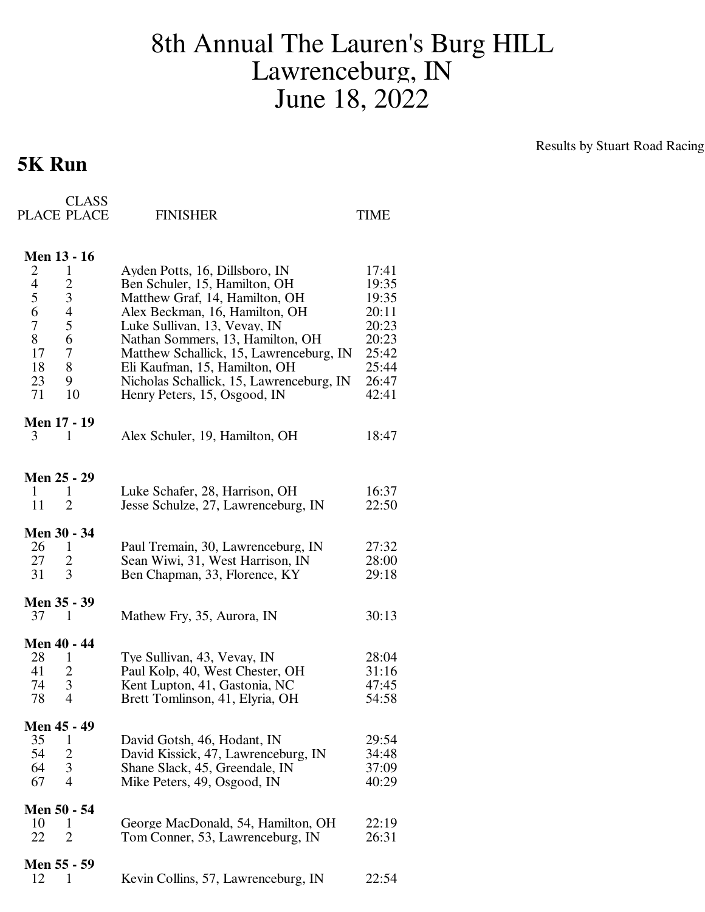## 8th Annual The Lauren's Burg HILL Lawrenceburg, IN June 18, 2022

## **5K Run**

Results by Stuart Road Racing

| <b>CLASS</b><br>PLACE PLACE                                                                                                                                                             | <b>FINISHER</b>                                                                                                                                                                                                                                                                                                                                                 | TIME                                                                                   |
|-----------------------------------------------------------------------------------------------------------------------------------------------------------------------------------------|-----------------------------------------------------------------------------------------------------------------------------------------------------------------------------------------------------------------------------------------------------------------------------------------------------------------------------------------------------------------|----------------------------------------------------------------------------------------|
| <b>Men 13 - 16</b><br>2<br>$\mathbf{1}$<br>4<br>$\overline{c}$<br>5<br>$\mathfrak{Z}$<br>$\overline{\mathcal{L}}$<br>6<br>5<br>7<br>8<br>6<br>17<br>7<br>18<br>8<br>23<br>9<br>71<br>10 | Ayden Potts, 16, Dillsboro, IN<br>Ben Schuler, 15, Hamilton, OH<br>Matthew Graf, 14, Hamilton, OH<br>Alex Beckman, 16, Hamilton, OH<br>Luke Sullivan, 13, Vevay, IN<br>Nathan Sommers, 13, Hamilton, OH<br>Matthew Schallick, 15, Lawrenceburg, IN<br>Eli Kaufman, 15, Hamilton, OH<br>Nicholas Schallick, 15, Lawrenceburg, IN<br>Henry Peters, 15, Osgood, IN | 17:41<br>19:35<br>19:35<br>20:11<br>20:23<br>20:23<br>25:42<br>25:44<br>26:47<br>42:41 |
| <b>Men 17 - 19</b><br>3<br>1                                                                                                                                                            | Alex Schuler, 19, Hamilton, OH                                                                                                                                                                                                                                                                                                                                  | 18:47                                                                                  |
| Men 25 - 29<br>1<br>1<br>11<br>2                                                                                                                                                        | Luke Schafer, 28, Harrison, OH<br>Jesse Schulze, 27, Lawrenceburg, IN                                                                                                                                                                                                                                                                                           | 16:37<br>22:50                                                                         |
| <b>Men 30 - 34</b><br>26<br>$\mathbf{1}$<br>27<br>2<br>3<br>31                                                                                                                          | Paul Tremain, 30, Lawrenceburg, IN<br>Sean Wiwi, 31, West Harrison, IN<br>Ben Chapman, 33, Florence, KY                                                                                                                                                                                                                                                         | 27:32<br>28:00<br>29:18                                                                |
| Men 35 - 39<br>37<br>1                                                                                                                                                                  | Mathew Fry, 35, Aurora, IN                                                                                                                                                                                                                                                                                                                                      | 30:13                                                                                  |
| <b>Men 40 - 44</b><br>28<br>1<br>41<br>$\overline{c}$<br>3<br>74<br>$\overline{4}$<br>78                                                                                                | Tye Sullivan, 43, Vevay, IN<br>Paul Kolp, 40, West Chester, OH<br>Kent Lupton, 41, Gastonia, NC<br>Brett Tomlinson, 41, Elyria, OH                                                                                                                                                                                                                              | 28:04<br>31:16<br>47:45<br>54:58                                                       |
| Men 45 - 49<br>35<br>1<br>54<br>2<br>64<br>3<br>$\overline{4}$<br>67                                                                                                                    | David Gotsh, 46, Hodant, IN<br>David Kissick, 47, Lawrenceburg, IN<br>Shane Slack, 45, Greendale, IN<br>Mike Peters, 49, Osgood, IN                                                                                                                                                                                                                             | 29:54<br>34:48<br>37:09<br>40:29                                                       |
| Men 50 - 54<br>10<br>1<br>22<br>2                                                                                                                                                       | George MacDonald, 54, Hamilton, OH<br>Tom Conner, 53, Lawrenceburg, IN                                                                                                                                                                                                                                                                                          | 22:19<br>26:31                                                                         |
| Men 55 - 59<br>12<br>1                                                                                                                                                                  | Kevin Collins, 57, Lawrenceburg, IN                                                                                                                                                                                                                                                                                                                             | 22:54                                                                                  |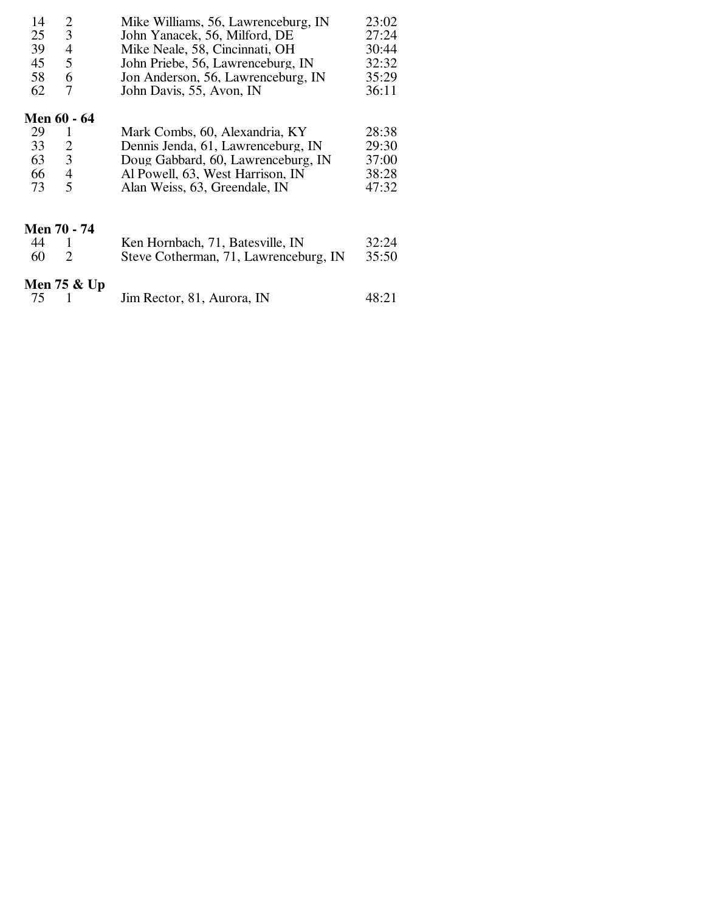| 14            | 2              | Mike Williams, 56, Lawrenceburg, IN<br>23:02 |       |  |
|---------------|----------------|----------------------------------------------|-------|--|
| 25            | $\overline{3}$ | John Yanacek, 56, Milford, DE                | 27:24 |  |
| 39            | $\overline{4}$ | Mike Neale, 58, Cincinnati, OH               | 30:44 |  |
| 45            | 5              | John Priebe, 56, Lawrenceburg, IN            | 32:32 |  |
| 58            | 6              | Jon Anderson, 56, Lawrenceburg, IN           | 35:29 |  |
| 62            | 7              | John Davis, 55, Avon, IN                     | 36:11 |  |
|               | Men 60 - 64    |                                              |       |  |
| 29            | 1              | Mark Combs, 60, Alexandria, KY               | 28:38 |  |
| 33            | $\overline{2}$ | Dennis Jenda, 61, Lawrenceburg, IN           | 29:30 |  |
| 63            | $\overline{3}$ | Doug Gabbard, 60, Lawrenceburg, IN           | 37:00 |  |
| 66            | $\overline{4}$ | Al Powell, 63, West Harrison, IN             | 38:28 |  |
| 73            | 5              | Alan Weiss, 63, Greendale, IN                | 47:32 |  |
|               | Men 70 - 74    |                                              |       |  |
| 44            | 1              | Ken Hornbach, 71, Batesville, IN             | 32:24 |  |
| 60            | 2              | Steve Cotherman, 71, Lawrenceburg, IN        | 35:50 |  |
| Men $75 &$ Up |                |                                              |       |  |
| 75            |                | Jim Rector, 81, Aurora, IN                   | 48:21 |  |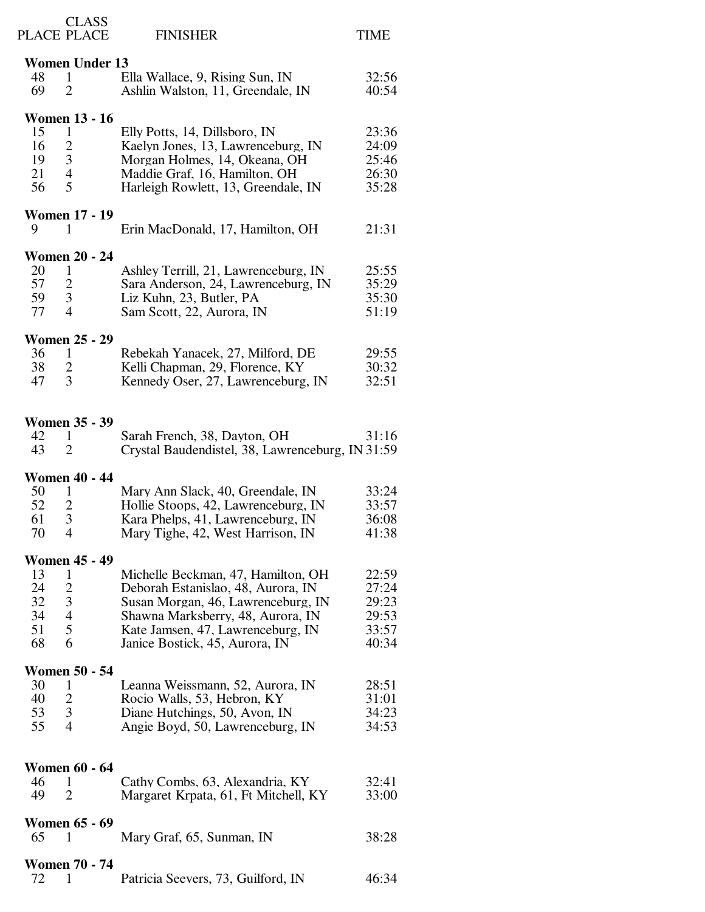| PLACE PLACE                    | <b>CLASS</b>         | <b>FINISHER</b>                                  | <b>TIME</b> |  |  |  |
|--------------------------------|----------------------|--------------------------------------------------|-------------|--|--|--|
| <b>Women Under 13</b>          |                      |                                                  |             |  |  |  |
| 48<br>1                        |                      | Ella Wallace, 9, Rising Sun, IN                  | 32:56       |  |  |  |
| 69<br>$\overline{2}$           |                      | Ashlin Walston, 11, Greendale, IN                | 40:54       |  |  |  |
|                                |                      |                                                  |             |  |  |  |
| <b>Women 13 - 16</b>           |                      |                                                  |             |  |  |  |
| 15<br>1                        |                      | Elly Potts, 14, Dillsboro, IN                    | 23:36       |  |  |  |
| $\overline{c}$<br>16           |                      | Kaelyn Jones, 13, Lawrenceburg, IN               | 24:09       |  |  |  |
| $\mathfrak{Z}$<br>19           |                      | Morgan Holmes, 14, Okeana, OH                    | 25:46       |  |  |  |
| 21<br>$\overline{\mathcal{A}}$ |                      | Maddie Graf, 16, Hamilton, OH                    | 26:30       |  |  |  |
| 5<br>56                        |                      | Harleigh Rowlett, 13, Greendale, IN              | 35:28       |  |  |  |
|                                |                      |                                                  |             |  |  |  |
| <b>Women 17 - 19</b>           |                      |                                                  |             |  |  |  |
| 9<br>1                         |                      | Erin MacDonald, 17, Hamilton, OH                 | 21:31       |  |  |  |
| <b>Women 20 - 24</b>           |                      |                                                  |             |  |  |  |
| 20<br>1                        |                      | Ashley Terrill, 21, Lawrenceburg, IN             | 25:55       |  |  |  |
| 57<br>$\overline{c}$           |                      | Sara Anderson, 24, Lawrenceburg, IN              | 35:29       |  |  |  |
| $\mathfrak{Z}$<br>59           |                      | Liz Kuhn, 23, Butler, PA                         | 35:30       |  |  |  |
| 77<br>4                        |                      | Sam Scott, 22, Aurora, IN                        | 51:19       |  |  |  |
|                                |                      |                                                  |             |  |  |  |
| <b>Women 25 - 29</b>           |                      |                                                  |             |  |  |  |
| 36<br>$\mathbf{1}$             |                      | Rebekah Yanacek, 27, Milford, DE                 | 29:55       |  |  |  |
| $\overline{c}$<br>38           |                      | Kelli Chapman, 29, Florence, KY                  | 30:32       |  |  |  |
| 3<br>47                        |                      | Kennedy Oser, 27, Lawrenceburg, IN               | 32:51       |  |  |  |
|                                |                      |                                                  |             |  |  |  |
| <b>Women 35 - 39</b>           |                      |                                                  |             |  |  |  |
| 42<br>1                        |                      | Sarah French, 38, Dayton, OH                     | 31:16       |  |  |  |
| 43<br>$\overline{2}$           |                      | Crystal Baudendistel, 38, Lawrenceburg, IN 31:59 |             |  |  |  |
|                                |                      |                                                  |             |  |  |  |
| <b>Women 40 - 44</b>           |                      |                                                  |             |  |  |  |
| 50<br>1                        |                      | Mary Ann Slack, 40, Greendale, IN                | 33:24       |  |  |  |
| 52<br>$\overline{c}$           |                      | Hollie Stoops, 42, Lawrenceburg, IN              | 33:57       |  |  |  |
| 3<br>61                        |                      | Kara Phelps, 41, Lawrenceburg, IN                | 36:08       |  |  |  |
| 70<br>$\overline{4}$           |                      | Mary Tighe, 42, West Harrison, IN                | 41:38       |  |  |  |
| <b>Women 45 - 49</b>           |                      |                                                  |             |  |  |  |
| 13<br>1                        |                      | Michelle Beckman, 47, Hamilton, OH               | 22:59       |  |  |  |
| 24<br>$\overline{c}$           |                      | Deborah Estanislao, 48, Aurora, IN               | 27:24       |  |  |  |
| $\mathfrak{Z}$<br>32           |                      | Susan Morgan, 46, Lawrenceburg, IN               | 29:23       |  |  |  |
| 4<br>34                        |                      | Shawna Marksberry, 48, Aurora, IN                | 29:53       |  |  |  |
| 5<br>51                        |                      | Kate Jamsen, 47, Lawrenceburg, IN                | 33:57       |  |  |  |
| 68<br>6                        |                      | Janice Bostick, 45, Aurora, IN                   | 40:34       |  |  |  |
|                                |                      |                                                  |             |  |  |  |
| <b>Women 50 - 54</b>           |                      |                                                  |             |  |  |  |
| 30<br>1                        |                      | Leanna Weissmann, 52, Aurora, IN                 | 28:51       |  |  |  |
| 40<br>$\overline{2}$           |                      | Rocio Walls, 53, Hebron, KY                      | 31:01       |  |  |  |
| 3<br>53                        |                      | Diane Hutchings, 50, Avon, IN                    | 34:23       |  |  |  |
| 4<br>55                        |                      | Angie Boyd, 50, Lawrenceburg, IN                 | 34:53       |  |  |  |
|                                |                      |                                                  |             |  |  |  |
|                                | <b>Women 60 - 64</b> |                                                  |             |  |  |  |
| 46<br>1                        |                      | Cathy Combs, 63, Alexandria, KY                  | 32:41       |  |  |  |
| 49<br>2                        |                      | Margaret Krpata, 61, Ft Mitchell, KY             | 33:00       |  |  |  |
|                                |                      |                                                  |             |  |  |  |
| <b>Women 65 - 69</b>           |                      |                                                  |             |  |  |  |
| 65<br>1                        |                      | Mary Graf, 65, Sunman, IN                        | 38:28       |  |  |  |
| <b>Women 70 - 74</b>           |                      |                                                  |             |  |  |  |
| 72<br>1                        |                      | Patricia Seevers, 73, Guilford, IN               | 46:34       |  |  |  |
|                                |                      |                                                  |             |  |  |  |